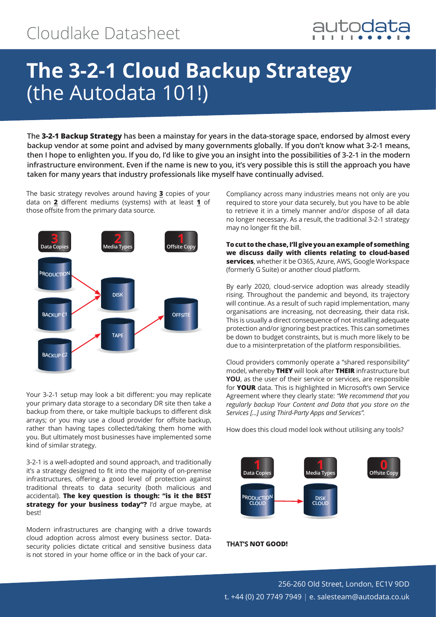

# **The 3-2-1 Cloud Backup Strategy**  (the Autodata 101!)

**The 3-2-1 Backup Strategy has been a mainstay for years in the data-storage space, endorsed by almost every backup vendor at some point and advised by many governments globally. If you don't know what 3-2-1 means, then I hope to enlighten you. If you do, I'd like to give you an insight into the possibilities of 3-2-1 in the modern infrastructure environment. Even if the name is new to you, it's very possible this is still the approach you have taken for many years that industry professionals like myself have continually advised.**

The basic strategy revolves around having **3** copies of your data on **2** different mediums (systems) with at least **1** of those offsite from the primary data source.



Your 3-2-1 setup may look a bit different: you may replicate your primary data storage to a secondary DR site then take a backup from there, or take multiple backups to different disk arrays; or you may use a cloud provider for offsite backup, rather than having tapes collected/taking them home with you. But ultimately most businesses have implemented some kind of similar strategy.

3-2-1 is a well-adopted and sound approach, and traditionally it's a strategy designed to fit into the majority of on-premise infrastructures, offering a good level of protection against traditional threats to data security (both malicious and accidental). **The key question is though: "is it the BEST strategy for your business today"?** I'd argue maybe, at best!

Modern infrastructures are changing with a drive towards cloud adoption across almost every business sector. Datasecurity policies dictate critical and sensitive business data is not stored in your home office or in the back of your car.

Compliancy across many industries means not only are you required to store your data securely, but you have to be able to retrieve it in a timely manner and/or dispose of all data no longer necessary. As a result, the traditional 3-2-1 strategy may no longer fit the bill.

**To cut to the chase, I'll give you an example of something we discuss daily with clients relating to cloud-based services**, whether it be O365, Azure, AWS, Google Workspace (formerly G Suite) or another cloud platform.

By early 2020, cloud-service adoption was already steadily rising. Throughout the pandemic and beyond, its trajectory will continue. As a result of such rapid implementation, many organisations are increasing, not decreasing, their data risk. This is usually a direct consequence of not installing adequate protection and/or ignoring best practices. This can sometimes be down to budget constraints, but is much more likely to be due to a misinterpretation of the platform responsibilities.

Cloud providers commonly operate a "shared responsibility" model, whereby **THEY** will look after **THEIR** infrastructure but **YOU**, as the user of their service or services, are responsible for **YOUR** data. This is highlighted in Microsoft's own Service Agreement where they clearly state: *"We recommend that you regularly backup Your Content and Data that you store on the Services [...] using Third-Party Apps and Services".*

How does this cloud model look without utilising any tools?



### **THAT'S NOT GOOD!**